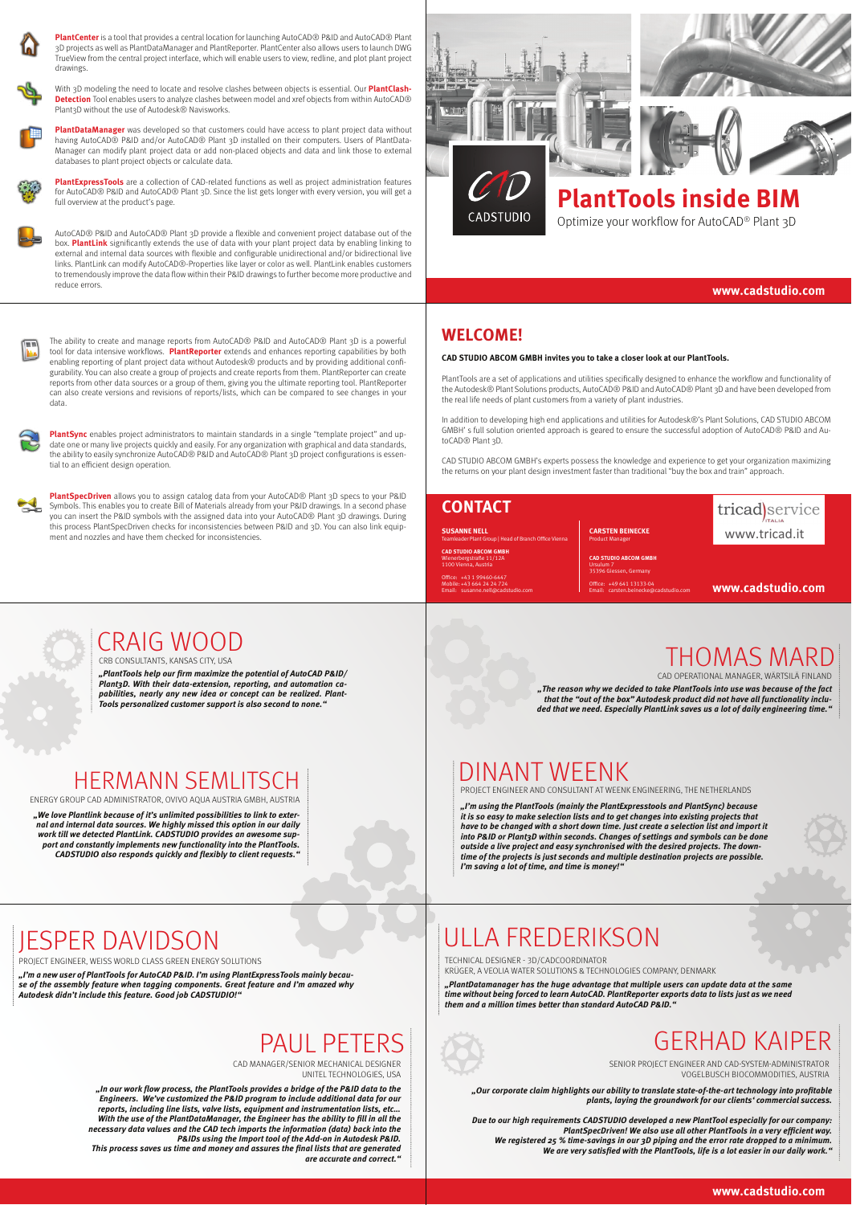

**PlantCenter** is a tool that provides a central location for launching AutoCAD® P&ID and AutoCAD® Plant 3D projects as well as PlantDataManager and PlantReporter. PlantCenter also allows users to launch DWG TrueView from the central project interface, which will enable users to view, redline, and plot plant project drawings.



With 3D modeling the need to locate and resolve clashes between objects is essential. Our **PlantClash-Detection** Tool enables users to analyze clashes between model and xref objects from within AutoCAD® Plant3D without the use of Autodesk® Navisworks.



**PlantDataManager** was developed so that customers could have access to plant project data without having AutoCAD® P&ID and/or AutoCAD® Plant 3D installed on their computers. Users of PlantData-Manager can modify plant project data or add non-placed objects and data and link those to external databases to plant project objects or calculate data.



**PlantExpressTools** are a collection of CAD-related functions as well as project administration features for AutoCAD® P&ID and AutoCAD® Plant 3D. Since the list gets longer with every version, you will get a full overview at the product's page.

AutoCAD® P&ID and AutoCAD® Plant 3D provide a flexible and convenient project database out of the box. <mark>PlantLink</mark> significantly extends the use of data with your plant project data by enabling linking to<br>external and internal data sources with flexible and configurable unidirectional and/or bidirectional live links. PlantLink can modify AutoCAD®-Properties like layer or color as well. PlantLink enables customers to tremendously improve the data flow within their P&ID drawings to further become more productive and reduce errors.



The ability to create and manage reports from AutoCAD® P&ID and AutoCAD® Plant 3D is a powerful tool for data intensive workflows. **PlantReporter** extends and enhances reporting capabilities by both<br>enabling reporting of plant project data without Autodesk® products and by providing additional configurability. You can also create a group of projects and create reports from them. PlantReporter can create reports from other data sources or a group of them, giving you the ultimate reporting tool. PlantReporter can also create versions and revisions of reports/lists, which can be compared to see changes in your data.



**PlantSync** enables project administrators to maintain standards in a single "template project" and update one or many live projects quickly and easily. For any organization with graphical and data standards, the ability to easily synchronize AutoCAD® P&ID and AutoCAD® Plant 3D project configurations is essential to an efficient design operation.

**PlantSpecDriven** allows you to assign catalog data from your AutoCAD® Plant 3D specs to your P&ID Symbols. This enables you to create Bill of Materials already from your P&ID drawings. In a second phase you can insert the P&ID symbols with the assigned data into your AutoCAD® Plant 3D drawings. During this process PlantSpecDriven checks for inconsistencies between P&ID and 3D. You can also link equipment and nozzles and have them checked for inconsistencies.





# CADSTUDIO

# **PlantTools inside BIM**

Optimize your workflow for AutoCAD® Plant 3D

#### **www.cadstudio.com**

#### **WELCOME!**

#### **CAD STUDIO ABCOM GMBH invites you to take a closer look at our PlantTools.**

PlantTools are a set of applications and utilities specifically designed to enhance the workflow and functionality of the Autodesk® Plant Solutions products, AutoCAD® P&ID and AutoCAD® Plant 3D and have been developed from the real life needs of plant customers from a variety of plant industries.

In addition to developing high end applications and utilities for Autodesk®'s Plant Solutions, CAD STUDIO ABCOM GMBH' s full solution oriented approach is geared to ensure the successful adoption of AutoCAD® P&ID and AutoCAD® Plant 3D.

CAD STUDIO ABCOM GMBH's experts possess the knowledge and experience to get your organization maximizing the returns on your plant design investment faster than traditional "buy the box and train" approach.

Office: +49 641 13133-04<br>Email: carsten.beinecke@cadstudio.com

| <b>CONTACT</b>                                                                      |  |
|-------------------------------------------------------------------------------------|--|
| <b>SUSANNE NELL</b><br><b>Teamleader Plant Group   Head of Branch Office Vienna</b> |  |
| <b>CAD STUDIO ABCOM GMBH</b><br>Wienerberestraße 11/12A<br>1100 Vienna, Austria     |  |
| Office: +43 1 99460-6447                                                            |  |

Ursulum<sub>7</sub>

Mobile: +43 664 24 24 724 Email: susanne.nell@cadstudio.com

**CARSTEN BEINECKE Product Manager CAD STUDIO ABCOM GMBH** 35396 Giessen, Germany

tricad)service www.tricad.it

**www.cadstudio.com**



**"PlantTools help our 7rm maximize the potential of AutoCAD P&ID/ Plant3D. With their data-extension, reporting, and automation capabilities, nearly any new idea or concept can be realized. Plant-Tools personalized customer support is also second to none."**

## HERMANN SEMLITSCH

ENERGY GROUP CAD ADMINISTRATOR, OVIVO AQUA AUSTRIA GMBH, AUSTRIA **"We love Plantlink because of it's unlimited possibilities to link to exter-**

**nal and internal data sources. We highly missed this option in our daily work till we detected PlantLink. CADSTUDIO provides an awesome sup-port and constantly implements new functionality into the PlantTools. CADSTUDIO also responds quickly and flexibly to client requests."**

#### THOMAS MARD CAD OPERATIONAL MANAGER, WÄRTSILÄ FINLAND

**"The reason why we decided to take PlantTools into use was because of the fact that the "out of the box" Autodesk product did not have all functionality inclu-ded that we need. Especially PlantLink saves us a lot of daily engineering time."**

### DINANT WEENK

PROJECT ENGINEER AND CONSULTANT AT WEENK ENGINEERING, THE NETHERLANDS

**"I'm using the PlantTools (mainly the PlantExpresstools and PlantSync) because it is so easy to make selection lists and to get changes into existing projects that have to be changed with a short down time. Just create a selection list and import it**  into P&ID or Plant3D within seconds. Changes of settings and symbols can be done<br>outside a live project and easy synchronised with the desired projects. The down-<br>time of the projects is just seconds and multiple destinati **I'm saving a lot of time, and time is money!"** 

## JESPER DAVIDSON

PROJECT ENGINEER, WEISS WORLD CLASS GREEN ENERGY SOLUTIONS

**"I'm a new user of PlantTools for AutoCAD P&ID. I'm using PlantExpressTools mainly because of the assembly feature when tagging components. Great feature and I'm amazed why Autodesk didn't include this feature. Good job CADSTUDIO!"**

## PAUL PFTFRS

CAD MANAGER/SENIOR MECHANICAL DESIGNER UNITEL TECHNOLOGIES, USA

**"In our work flow process, the PlantTools provides a bridge of the P&ID data to the Engineers. We've customized the P&ID program to include additional data for our reports, including line lists, valve lists, equipment and instrumentation lists, etc… With the use of the PlantDataManager, the Engineer has the ability to 7ll in all the necessary data values and the CAD tech imports the information (data) back into the P&IDs using the Import tool of the Add-on in Autodesk P&ID. This process saves us time and money and assures the 7nal lists that are generated** 

**are accurate and correct."**

## ULLA FREDERIKSON

TECHNICAL DESIGNER - 3D/CADCOORDINATOR

KRÜGER, A VEOLIA WATER SOLUTIONS & TECHNOLOGIES COMPANY, DENMARK

**"PlantDatamanager has the huge advantage that multiple users can update data at the same time without being forced to learn AutoCAD. PlantReporter exports data to lists just as we need them and a million times better than standard AutoCAD P&ID."**



SENIOR PROJECT ENGINEER AND CAD-SYSTEM-ADMINISTRATOR VOGELBUSCH BIOCOMMODITIES, AUSTRIA

**"Our corporate claim highlights our ability to translate state-of-the-art technology into pro7table plants, laying the groundwork for our clients' commercial success.**

**Due to our high requirements CADSTUDIO developed a new PlantTool especially for our company:**  .PlantSpecDriven! We also use all other PlantTools in a very efficient way<br>We registered 25 % time-savings in our 3D piping and the error rate dropped to a minimum.<br>"We are very satisfied with the PlantTools, life is a lot